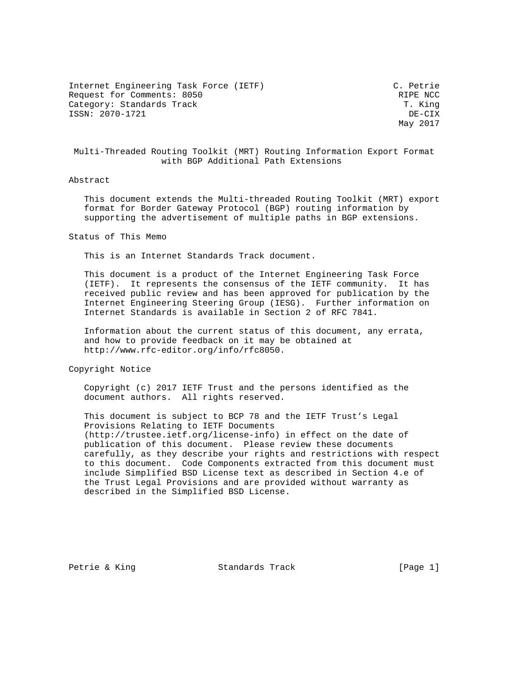Internet Engineering Task Force (IETF) C. Petrie Request for Comments: 8050 RIPE NCC<br>Category: Standards Track Ripe (Research Monthly Ripe (Research Monthly Ripe (Research Monthly Ripe ) Category: Standards Track ISSN: 2070-1721 DE-CIX

May 2017

 Multi-Threaded Routing Toolkit (MRT) Routing Information Export Format with BGP Additional Path Extensions

## Abstract

 This document extends the Multi-threaded Routing Toolkit (MRT) export format for Border Gateway Protocol (BGP) routing information by supporting the advertisement of multiple paths in BGP extensions.

Status of This Memo

This is an Internet Standards Track document.

 This document is a product of the Internet Engineering Task Force (IETF). It represents the consensus of the IETF community. It has received public review and has been approved for publication by the Internet Engineering Steering Group (IESG). Further information on Internet Standards is available in Section 2 of RFC 7841.

 Information about the current status of this document, any errata, and how to provide feedback on it may be obtained at http://www.rfc-editor.org/info/rfc8050.

Copyright Notice

 Copyright (c) 2017 IETF Trust and the persons identified as the document authors. All rights reserved.

 This document is subject to BCP 78 and the IETF Trust's Legal Provisions Relating to IETF Documents (http://trustee.ietf.org/license-info) in effect on the date of publication of this document. Please review these documents carefully, as they describe your rights and restrictions with respect to this document. Code Components extracted from this document must include Simplified BSD License text as described in Section 4.e of the Trust Legal Provisions and are provided without warranty as described in the Simplified BSD License.

Petrie & King Standards Track [Page 1]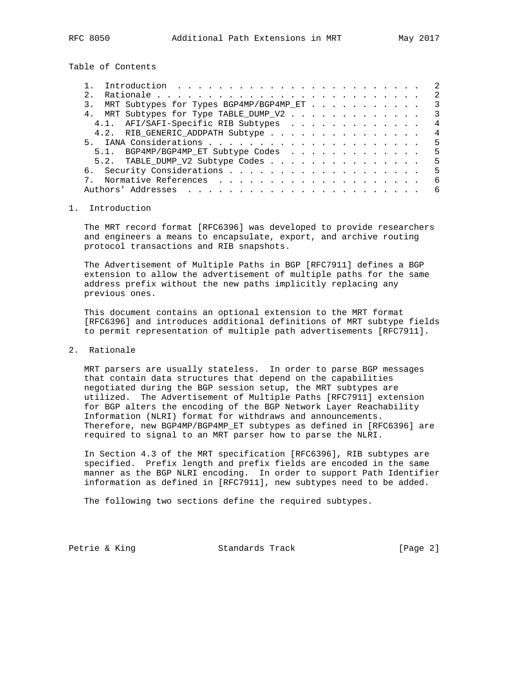Table of Contents

| Introduction $\ldots \ldots \ldots \ldots \ldots \ldots \ldots \ldots$ | -2                      |
|------------------------------------------------------------------------|-------------------------|
| 2.1                                                                    | 2                       |
| MRT Subtypes for Types BGP4MP/BGP4MP_ET<br>3.                          | 3                       |
| 4. MRT Subtypes for Type TABLE_DUMP_V2                                 | $\overline{\mathbf{3}}$ |
| 4.1. AFI/SAFI-Specific RIB Subtypes                                    | 4                       |
| 4.2. RIB_GENERIC_ADDPATH Subtype                                       | $\overline{4}$          |
|                                                                        | 5                       |
| 5.1. BGP4MP/BGP4MP_ET Subtype Codes                                    | 5                       |
| 5.2. TABLE_DUMP_V2 Subtype Codes                                       | 5                       |
|                                                                        | 5                       |
|                                                                        | -6                      |
|                                                                        | 6                       |
|                                                                        |                         |

#### 1. Introduction

 The MRT record format [RFC6396] was developed to provide researchers and engineers a means to encapsulate, export, and archive routing protocol transactions and RIB snapshots.

 The Advertisement of Multiple Paths in BGP [RFC7911] defines a BGP extension to allow the advertisement of multiple paths for the same address prefix without the new paths implicitly replacing any previous ones.

 This document contains an optional extension to the MRT format [RFC6396] and introduces additional definitions of MRT subtype fields to permit representation of multiple path advertisements [RFC7911].

## 2. Rationale

 MRT parsers are usually stateless. In order to parse BGP messages that contain data structures that depend on the capabilities negotiated during the BGP session setup, the MRT subtypes are utilized. The Advertisement of Multiple Paths [RFC7911] extension for BGP alters the encoding of the BGP Network Layer Reachability Information (NLRI) format for withdraws and announcements. Therefore, new BGP4MP/BGP4MP\_ET subtypes as defined in [RFC6396] are required to signal to an MRT parser how to parse the NLRI.

 In Section 4.3 of the MRT specification [RFC6396], RIB subtypes are specified. Prefix length and prefix fields are encoded in the same manner as the BGP NLRI encoding. In order to support Path Identifier information as defined in [RFC7911], new subtypes need to be added.

The following two sections define the required subtypes.

Petrie & King Standards Track [Page 2]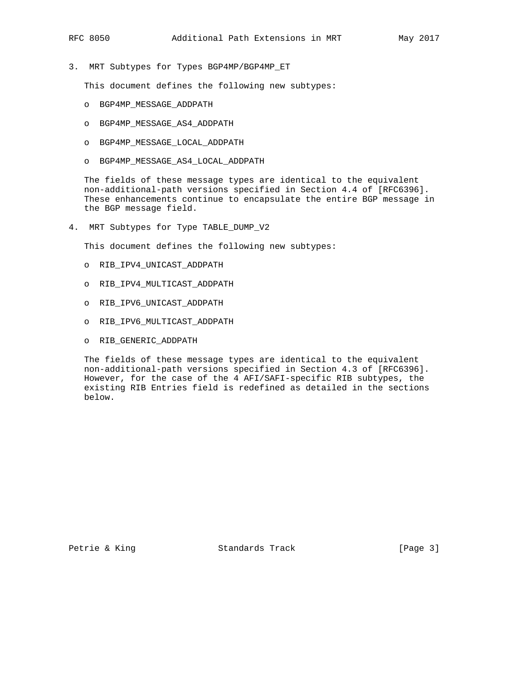3. MRT Subtypes for Types BGP4MP/BGP4MP\_ET

This document defines the following new subtypes:

- o BGP4MP\_MESSAGE\_ADDPATH
- o BGP4MP\_MESSAGE\_AS4\_ADDPATH
- o BGP4MP\_MESSAGE\_LOCAL\_ADDPATH
- o BGP4MP\_MESSAGE\_AS4\_LOCAL\_ADDPATH

 The fields of these message types are identical to the equivalent non-additional-path versions specified in Section 4.4 of [RFC6396]. These enhancements continue to encapsulate the entire BGP message in the BGP message field.

4. MRT Subtypes for Type TABLE\_DUMP\_V2

This document defines the following new subtypes:

- o RIB\_IPV4\_UNICAST\_ADDPATH
- o RIB\_IPV4\_MULTICAST\_ADDPATH
- o RIB\_IPV6\_UNICAST\_ADDPATH
- o RIB\_IPV6\_MULTICAST\_ADDPATH
- o RIB\_GENERIC\_ADDPATH

 The fields of these message types are identical to the equivalent non-additional-path versions specified in Section 4.3 of [RFC6396]. However, for the case of the 4 AFI/SAFI-specific RIB subtypes, the existing RIB Entries field is redefined as detailed in the sections below.

Petrie & King Standards Track [Page 3]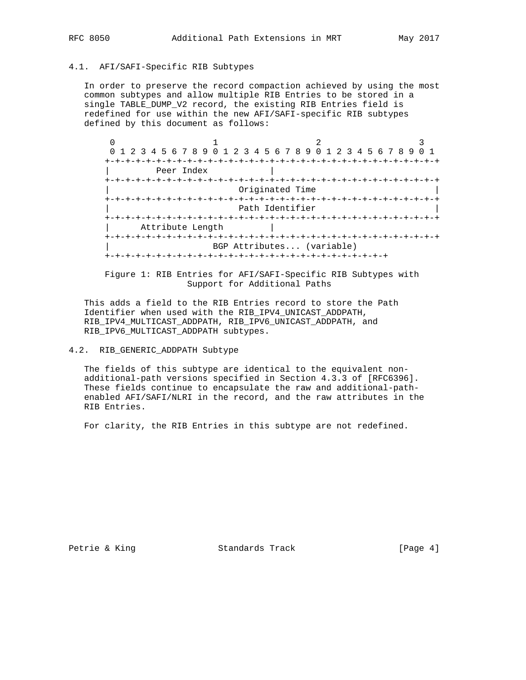## 4.1. AFI/SAFI-Specific RIB Subtypes

 In order to preserve the record compaction achieved by using the most common subtypes and allow multiple RIB Entries to be stored in a single TABLE\_DUMP\_V2 record, the existing RIB Entries field is redefined for use within the new AFI/SAFI-specific RIB subtypes defined by this document as follows:

| U                                                           |                           |  |  |  |  |
|-------------------------------------------------------------|---------------------------|--|--|--|--|
| 0 1 2 3 4 5 6 7 8 9 0 1 2 3 4 5 6 7 8 9 0 1 2 3 4 5 6 7 8 9 |                           |  |  |  |  |
|                                                             | +-+-+-+-+-+-+-+-+-+-+-+-+ |  |  |  |  |
| Peer Index                                                  |                           |  |  |  |  |
|                                                             | -+-+-+-+-+-+-+-+          |  |  |  |  |
|                                                             |                           |  |  |  |  |
|                                                             |                           |  |  |  |  |
|                                                             | Path Identifier           |  |  |  |  |
|                                                             |                           |  |  |  |  |
| Attribute Length                                            |                           |  |  |  |  |
|                                                             |                           |  |  |  |  |
| BGP Attributes (variable)                                   |                           |  |  |  |  |
|                                                             |                           |  |  |  |  |

 Figure 1: RIB Entries for AFI/SAFI-Specific RIB Subtypes with Support for Additional Paths

 This adds a field to the RIB Entries record to store the Path Identifier when used with the RIB\_IPV4\_UNICAST\_ADDPATH, RIB\_IPV4\_MULTICAST\_ADDPATH, RIB\_IPV6\_UNICAST\_ADDPATH, and RIB\_IPV6\_MULTICAST\_ADDPATH subtypes.

## 4.2. RIB\_GENERIC\_ADDPATH Subtype

 The fields of this subtype are identical to the equivalent non additional-path versions specified in Section 4.3.3 of [RFC6396]. These fields continue to encapsulate the raw and additional-path enabled AFI/SAFI/NLRI in the record, and the raw attributes in the RIB Entries.

For clarity, the RIB Entries in this subtype are not redefined.

Petrie & King Standards Track [Page 4]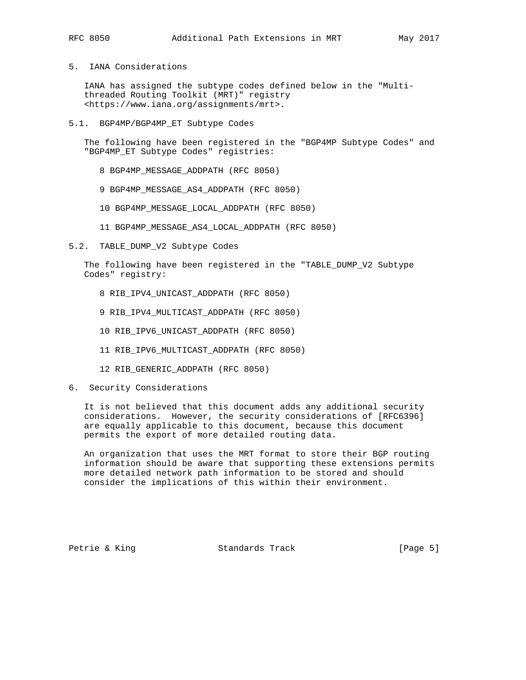# 5. IANA Considerations

 IANA has assigned the subtype codes defined below in the "Multi threaded Routing Toolkit (MRT)" registry <https://www.iana.org/assignments/mrt>.

5.1. BGP4MP/BGP4MP\_ET Subtype Codes

 The following have been registered in the "BGP4MP Subtype Codes" and "BGP4MP\_ET Subtype Codes" registries:

- 8 BGP4MP\_MESSAGE\_ADDPATH (RFC 8050)
- 9 BGP4MP\_MESSAGE\_AS4\_ADDPATH (RFC 8050)
- 10 BGP4MP\_MESSAGE\_LOCAL\_ADDPATH (RFC 8050)
- 11 BGP4MP\_MESSAGE\_AS4\_LOCAL\_ADDPATH (RFC 8050)
- 5.2. TABLE\_DUMP\_V2 Subtype Codes

 The following have been registered in the "TABLE\_DUMP\_V2 Subtype Codes" registry:

- 8 RIB\_IPV4\_UNICAST\_ADDPATH (RFC 8050)
- 9 RIB\_IPV4\_MULTICAST\_ADDPATH (RFC 8050)
- 10 RIB\_IPV6\_UNICAST\_ADDPATH (RFC 8050)
- 11 RIB\_IPV6\_MULTICAST\_ADDPATH (RFC 8050)
- 12 RIB\_GENERIC\_ADDPATH (RFC 8050)
- 6. Security Considerations

 It is not believed that this document adds any additional security considerations. However, the security considerations of [RFC6396] are equally applicable to this document, because this document permits the export of more detailed routing data.

 An organization that uses the MRT format to store their BGP routing information should be aware that supporting these extensions permits more detailed network path information to be stored and should consider the implications of this within their environment.

Petrie & King Standards Track [Page 5]